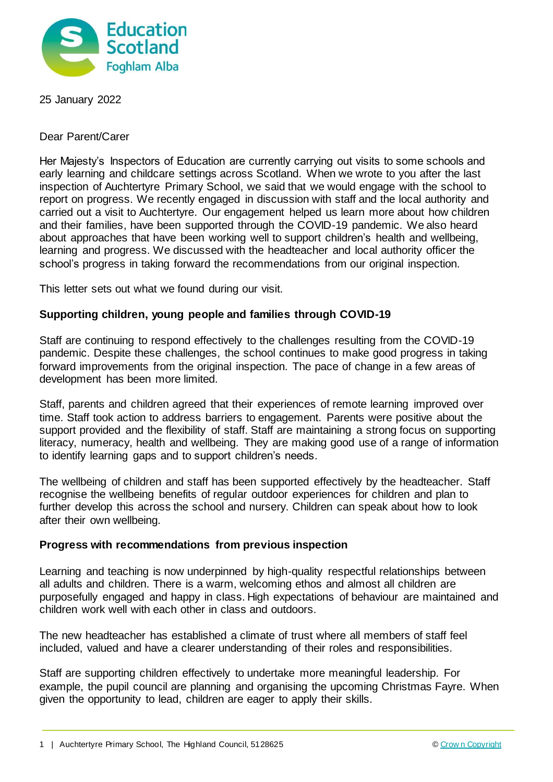

25 January 2022

Dear Parent/Carer

Her Majesty's Inspectors of Education are currently carrying out visits to some schools and early learning and childcare settings across Scotland. When we wrote to you after the last inspection of Auchtertyre Primary School, we said that we would engage with the school to report on progress. We recently engaged in discussion with staff and the local authority and carried out a visit to Auchtertyre. Our engagement helped us learn more about how children and their families, have been supported through the COVID-19 pandemic. We also heard about approaches that have been working well to support children's health and wellbeing, learning and progress. We discussed with the headteacher and local authority officer the school's progress in taking forward the recommendations from our original inspection.

This letter sets out what we found during our visit.

## **Supporting children, young people and families through COVID-19**

Staff are continuing to respond effectively to the challenges resulting from the COVID-19 pandemic. Despite these challenges, the school continues to make good progress in taking forward improvements from the original inspection. The pace of change in a few areas of development has been more limited.

Staff, parents and children agreed that their experiences of remote learning improved over time. Staff took action to address barriers to engagement. Parents were positive about the support provided and the flexibility of staff. Staff are maintaining a strong focus on supporting literacy, numeracy, health and wellbeing. They are making good use of a range of information to identify learning gaps and to support children's needs.

The wellbeing of children and staff has been supported effectively by the headteacher. Staff recognise the wellbeing benefits of regular outdoor experiences for children and plan to further develop this across the school and nursery. Children can speak about how to look after their own wellbeing.

## **Progress with recommendations from previous inspection**

Learning and teaching is now underpinned by high-quality respectful relationships between all adults and children. There is a warm, welcoming ethos and almost all children are purposefully engaged and happy in class. High expectations of behaviour are maintained and children work well with each other in class and outdoors.

The new headteacher has established a climate of trust where all members of staff feel included, valued and have a clearer understanding of their roles and responsibilities.

Staff are supporting children effectively to undertake more meaningful leadership. For example, the pupil council are planning and organising the upcoming Christmas Fayre. When given the opportunity to lead, children are eager to apply their skills.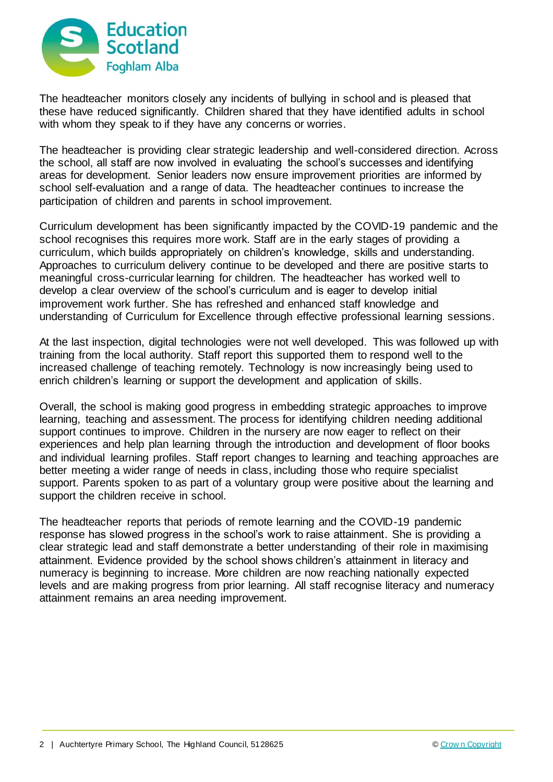

The headteacher monitors closely any incidents of bullying in school and is pleased that these have reduced significantly. Children shared that they have identified adults in school with whom they speak to if they have any concerns or worries.

The headteacher is providing clear strategic leadership and well-considered direction. Across the school, all staff are now involved in evaluating the school's successes and identifying areas for development. Senior leaders now ensure improvement priorities are informed by school self-evaluation and a range of data. The headteacher continues to increase the participation of children and parents in school improvement.

Curriculum development has been significantly impacted by the COVID-19 pandemic and the school recognises this requires more work. Staff are in the early stages of providing a curriculum, which builds appropriately on children's knowledge, skills and understanding. Approaches to curriculum delivery continue to be developed and there are positive starts to meaningful cross-curricular learning for children. The headteacher has worked well to develop a clear overview of the school's curriculum and is eager to develop initial improvement work further. She has refreshed and enhanced staff knowledge and understanding of Curriculum for Excellence through effective professional learning sessions.

At the last inspection, digital technologies were not well developed. This was followed up with training from the local authority. Staff report this supported them to respond well to the increased challenge of teaching remotely. Technology is now increasingly being used to enrich children's learning or support the development and application of skills.

Overall, the school is making good progress in embedding strategic approaches to improve learning, teaching and assessment. The process for identifying children needing additional support continues to improve. Children in the nursery are now eager to reflect on their experiences and help plan learning through the introduction and development of floor books and individual learning profiles. Staff report changes to learning and teaching approaches are better meeting a wider range of needs in class, including those who require specialist support. Parents spoken to as part of a voluntary group were positive about the learning and support the children receive in school.

The headteacher reports that periods of remote learning and the COVID-19 pandemic response has slowed progress in the school's work to raise attainment. She is providing a clear strategic lead and staff demonstrate a better understanding of their role in maximising attainment. Evidence provided by the school shows children's attainment in literacy and numeracy is beginning to increase. More children are now reaching nationally expected levels and are making progress from prior learning. All staff recognise literacy and numeracy attainment remains an area needing improvement.